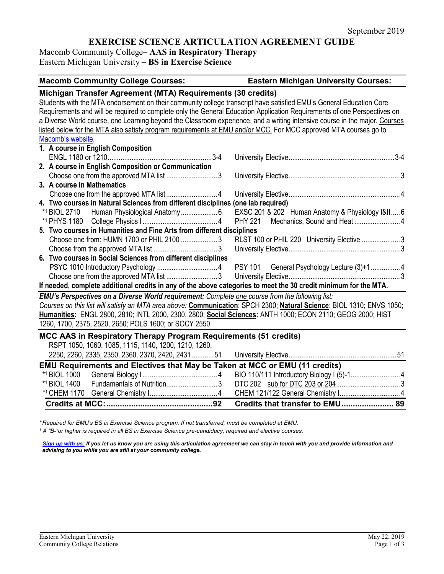# **EXERCISE SCIENCE ARTICULATION AGREEMENT GUIDE**

Macomb Community College– **AAS in Respiratory Therapy** Eastern Michigan University – **BS in Exercise Science**

| <b>Macomb Community College Courses:</b>                                                                                   | <b>Eastern Michigan University Courses:</b>      |
|----------------------------------------------------------------------------------------------------------------------------|--------------------------------------------------|
| Michigan Transfer Agreement (MTA) Requirements (30 credits)                                                                |                                                  |
| Students with the MTA endorsement on their community college transcript have satisfied EMU's General Education Core        |                                                  |
| Requirements and will be required to complete only the General Education Application Requirements of one Perspectives on   |                                                  |
| a Diverse World course, one Learning beyond the Classroom experience, and a writing intensive course in the major. Courses |                                                  |
| listed below for the MTA also satisfy program requirements at EMU and/or MCC. For MCC approved MTA courses go to           |                                                  |
| Macomb's website.                                                                                                          |                                                  |
| 1. A course in English Composition                                                                                         |                                                  |
|                                                                                                                            |                                                  |
| 2. A course in English Composition or Communication                                                                        |                                                  |
|                                                                                                                            |                                                  |
| 3. A course in Mathematics                                                                                                 |                                                  |
|                                                                                                                            |                                                  |
| 4. Two courses in Natural Sciences from different disciplines (one lab required)                                           |                                                  |
| *1 BIOL 2710                                                                                                               | EXSC 201 & 202 Human Anatomy & Physiology I&II 6 |
|                                                                                                                            | <b>PHY 221</b>                                   |
| 5. Two courses in Humanities and Fine Arts from different disciplines                                                      |                                                  |
| Choose one from: HUMN 1700 or PHIL 2100 3                                                                                  | RLST 100 or PHIL 220 University Elective 3       |
|                                                                                                                            |                                                  |
| 6. Two courses in Social Sciences from different disciplines                                                               |                                                  |
|                                                                                                                            | PSY 101 General Psychology Lecture (3)+14        |
|                                                                                                                            |                                                  |
| If needed, complete additional credits in any of the above categories to meet the 30 credit minimum for the MTA.           |                                                  |
| EMU's Perspectives on a Diverse World requirement: Complete one course from the following list:                            |                                                  |
| Courses on this list will satisfy an MTA area above: Communication: SPCH 2300; Natural Science: BIOL 1310; ENVS 1050;      |                                                  |
| Humanities: ENGL 2800, 2810; INTL 2000, 2300, 2800; Social Sciences: ANTH 1000; ECON 2110; GEOG 2000; HIST                 |                                                  |
| 1260, 1700, 2375, 2520, 2650; POLS 1600; or SOCY 2550                                                                      |                                                  |
| MCC AAS in Respiratory Therapy Program Requirements (51 credits)                                                           |                                                  |
| RSPT 1050, 1060, 1085, 1115, 1140, 1200, 1210, 1260,                                                                       |                                                  |
| 2250, 2260, 2335, 2350, 2360, 2370, 2420, 243151                                                                           |                                                  |
| EMU Requirements and Electives that May be Taken at MCC or EMU (11 credits)                                                |                                                  |
| *1 BIOL 1000                                                                                                               |                                                  |
| Fundamentals of Nutrition3<br>*1 BIOL 1400                                                                                 |                                                  |
|                                                                                                                            |                                                  |
|                                                                                                                            | Credits that transfer to EMU 89                  |

*\* Required for EMU's BS in Exercise Science program. If not transferred, must be completed at EMU.* 

*<sup>1</sup> A "B-"or higher is required in all BS in Exercise Science pre-candidacy, required and elective courses.* 

*[Sign up with us:](https://www.emich.edu/ccr/articulation-agreements/signup.php) If you let us know you are using this articulation agreement we can stay in touch with you and provide information and advising to you while you are still at your community college.*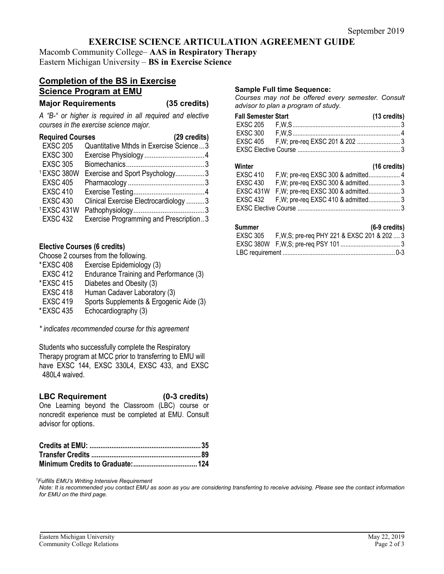# **EXERCISE SCIENCE ARTICULATION AGREEMENT GUIDE**

Macomb Community College– **AAS in Respiratory Therapy** Eastern Michigan University – **BS in Exercise Science**

# **Completion of the BS in Exercise Science Program at EMU**

**Major Requirements (35 credits)**

*A "B-" or higher is required in all required and elective courses in the exercise science major.*

| <b>Required Courses</b><br>(29 credits) |                                         |
|-----------------------------------------|-----------------------------------------|
| <b>EXSC 205</b>                         | Quantitative Mthds in Exercise Science3 |
| <b>EXSC 300</b>                         |                                         |
| <b>EXSC 305</b>                         |                                         |
| 1EXSC 380W                              | Exercise and Sport Psychology3          |
| <b>EXSC 405</b>                         |                                         |
| <b>EXSC 410</b>                         |                                         |
| <b>EXSC 430</b>                         | Clinical Exercise Electrocardiology 3   |
| 1EXSC 431W                              |                                         |
| <b>EXSC 432</b>                         | Exercise Programming and Prescription3  |

## **Elective Courses (6 credits)**

Choose 2 courses from the following.

- \*EXSC 408 Exercise Epidemiology (3) EXSC 412 Endurance Training and Performance (3) \*EXSC 415 Diabetes and Obesity (3) EXSC 418 Human Cadaver Laboratory (3)
- EXSC 419 Sports Supplements & Ergogenic Aide (3)<br>\*EXSC 435 Echocardiography (3) Echocardiography (3)

*\* indicates recommended course for this agreement*

Students who successfully complete the Respiratory Therapy program at MCC prior to transferring to EMU will have EXSC 144, EXSC 330L4, EXSC 433, and EXSC 480L4 waived.

## **LBC Requirement (0-3 credits)**

One Learning beyond the Classroom (LBC) course or noncredit experience must be completed at EMU. Consult advisor for options.

### *1 Fulfills EMU's Writing Intensive Requirement*

*Note: It is recommended you contact EMU as soon as you are considering transferring to receive advising. Please see the contact information for EMU on the third page.*

### **Sample Full time Sequence:**

*Courses may not be offered every semester. Consult advisor to plan a program of study.*

| <b>Fall Semester Start</b> | $(13 \text{ credits})$ |
|----------------------------|------------------------|
|                            |                        |
|                            |                        |
|                            |                        |
|                            |                        |
|                            |                        |

| Winter          |                                               | (16 credits) |
|-----------------|-----------------------------------------------|--------------|
| <b>EXSC 410</b> |                                               |              |
| <b>EXSC 430</b> |                                               |              |
|                 | EXSC 431W F, W; pre-req EXSC 300 & admitted 3 |              |
|                 |                                               |              |
|                 |                                               |              |

### **Summer (6-9 credits)**

| יסוווווופו | $10 - 3$ or called                                    |  |
|------------|-------------------------------------------------------|--|
|            | EXSC 305 F, W, S; pre-req PHY 221 & EXSC 201 & 202  3 |  |
|            |                                                       |  |
|            |                                                       |  |